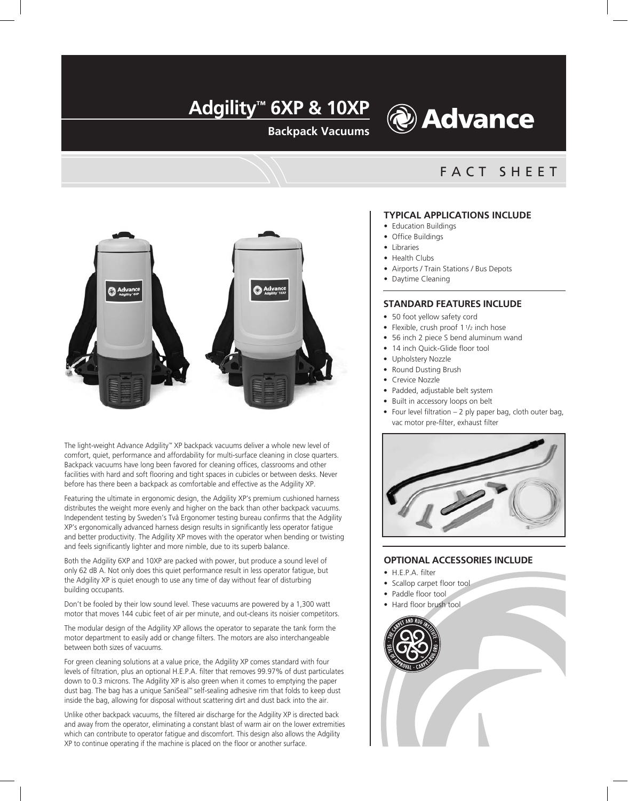# **Adgility™ 6XP & 10XP**

#### **Backpack Vacuums**

# *C* Advance

### FACT SHEET



The light-weight Advance Adgility™ XP backpack vacuums deliver a whole new level of comfort, quiet, performance and affordability for multi-surface cleaning in close quarters. Backpack vacuums have long been favored for cleaning offices, classrooms and other facilities with hard and soft flooring and tight spaces in cubicles or between desks. Never before has there been a backpack as comfortable and effective as the Adgility XP.

Featuring the ultimate in ergonomic design, the Adgility XP's premium cushioned harness distributes the weight more evenly and higher on the back than other backpack vacuums. Independent testing by Sweden's Två Ergonomer testing bureau confirms that the Adgility XP's ergonomically advanced harness design results in significantly less operator fatigue and better productivity. The Adgility XP moves with the operator when bending or twisting and feels significantly lighter and more nimble, due to its superb balance.

Both the Adgility 6XP and 10XP are packed with power, but produce a sound level of only 62 dB A. Not only does this quiet performance result in less operator fatigue, but the Adgility XP is quiet enough to use any time of day without fear of disturbing building occupants.

Don't be fooled by their low sound level. These vacuums are powered by a 1,300 watt motor that moves 144 cubic feet of air per minute, and out-cleans its noisier competitors.

The modular design of the Adgility XP allows the operator to separate the tank form the motor department to easily add or change filters. The motors are also interchangeable between both sizes of vacuums.

For green cleaning solutions at a value price, the Adgility XP comes standard with four levels of filtration, plus an optional H.E.P.A. filter that removes 99.97% of dust particulates down to 0.3 microns. The Adgility XP is also green when it comes to emptying the paper dust bag. The bag has a unique SaniSeal™ self-sealing adhesive rim that folds to keep dust inside the bag, allowing for disposal without scattering dirt and dust back into the air.

Unlike other backpack vacuums, the filtered air discharge for the Adgility XP is directed back and away from the operator, eliminating a constant blast of warm air on the lower extremities which can contribute to operator fatigue and discomfort. This design also allows the Adgility XP to continue operating if the machine is placed on the floor or another surface.

#### **TYPICAL APPLICATIONS INCLUDE**

- Education Buildings
- Office Buildings
- • Libraries
- Health Clubs
- Airports / Train Stations / Bus Depots
- Daytime Cleaning

#### **STANDARD FFATURES INCLUDE**

- 50 foot yellow safety cord
- Flexible, crush proof  $11/2$  inch hose
- • 56 inch 2 piece S bend aluminum wand
- 14 inch Quick-Glide floor tool
- Upholstery Nozzle
- Round Dusting Brush
- Crevice Nozzle
- Padded, adjustable belt system
- Built in accessory loops on belt
- $\bullet$  Four level filtration 2 ply paper bag, cloth outer bag, vac motor pre-filter, exhaust filter



#### **OPTIONAL ACCESSORIES INCLUDE**

- • H.E.P.A. filter
- Scallop carpet floor tool
- Paddle floor tool
- Hard floor brush tool